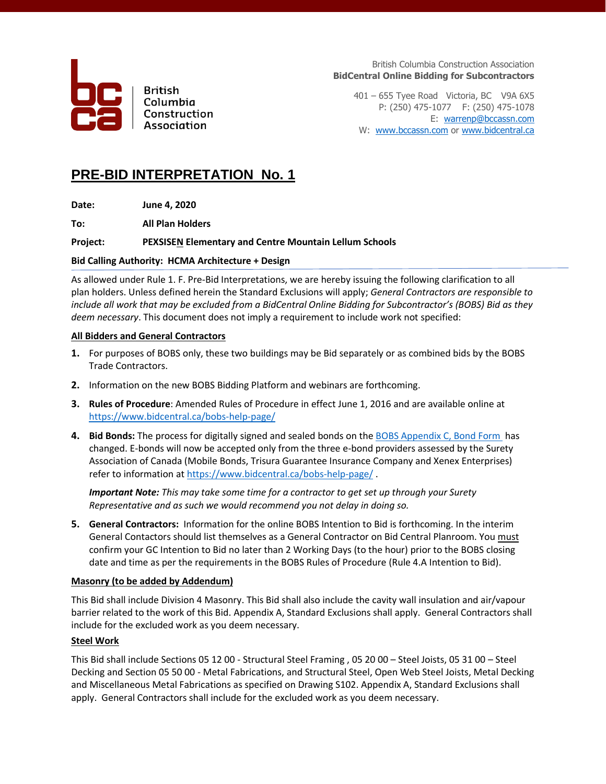

**British** Columbia Construction Association

British Columbia Construction Association **BidCentral Online Bidding for Subcontractors**

401 – 655 Tyee Road Victoria, BC V9A 6X5 P: (250) 475-1077 F: (250) 475-1078 E: [warrenp@bccassn.com](mailto:warrenp@bccassn.com) W: [www.bccassn.com](http://www.bccassn.com/) o[r www.bidcentral.ca](http://www.bidcentral.ca/)

## **PRE-BID INTERPRETATION No. 1**

**Date: June 4, 2020**

**To: All Plan Holders**

## **Project: PEXSISEN Elementary and Centre Mountain Lellum Schools**

## **Bid Calling Authority: HCMA Architecture + Design**

As allowed under Rule 1. F. Pre-Bid Interpretations, we are hereby issuing the following clarification to all plan holders. Unless defined herein the Standard Exclusions will apply; *General Contractors are responsible to include all work that may be excluded from a BidCentral Online Bidding for Subcontractor's (BOBS) Bid as they deem necessary*. This document does not imply a requirement to include work not specified:

## **All Bidders and General Contractors**

- **1.** For purposes of BOBS only, these two buildings may be Bid separately or as combined bids by the BOBS Trade Contractors.
- **2.** Information on the new BOBS Bidding Platform and webinars are forthcoming.
- **3. Rules of Procedure**: Amended Rules of Procedure in effect June 1, 2016 and are available online at <https://www.bidcentral.ca/bobs-help-page/>
- **4. Bid Bonds:** The process for digitally signed and sealed bonds on th[e BOBS Appendix C, Bond Form](https://www.bidcentral.ca/help/bobs-bond-form/) has changed. E-bonds will now be accepted only from the three e-bond providers assessed by the Surety Association of Canada (Mobile Bonds, Trisura Guarantee Insurance Company and Xenex Enterprises) refer to information at<https://www.bidcentral.ca/bobs-help-page/>.

*Important Note: This may take some time for a contractor to get set up through your Surety Representative and as such we would recommend you not delay in doing so.* 

**5. General Contractors:** Information for the online BOBS Intention to Bid is forthcoming. In the interim General Contactors should list themselves as a General Contractor on Bid Central Planroom. You must confirm your GC Intention to Bid no later than 2 Working Days (to the hour) prior to the BOBS closing date and time as per the requirements in the BOBS Rules of Procedure (Rule 4.A Intention to Bid).

## **Masonry (to be added by Addendum)**

This Bid shall include Division 4 Masonry. This Bid shall also include the cavity wall insulation and air/vapour barrier related to the work of this Bid. Appendix A, Standard Exclusions shall apply. General Contractors shall include for the excluded work as you deem necessary.

## **Steel Work**

This Bid shall include Sections 05 12 00 - Structural Steel Framing , 05 20 00 – Steel Joists, 05 31 00 – Steel Decking and Section 05 50 00 - Metal Fabrications, and Structural Steel, Open Web Steel Joists, Metal Decking and Miscellaneous Metal Fabrications as specified on Drawing S102. Appendix A, Standard Exclusions shall apply. General Contractors shall include for the excluded work as you deem necessary.